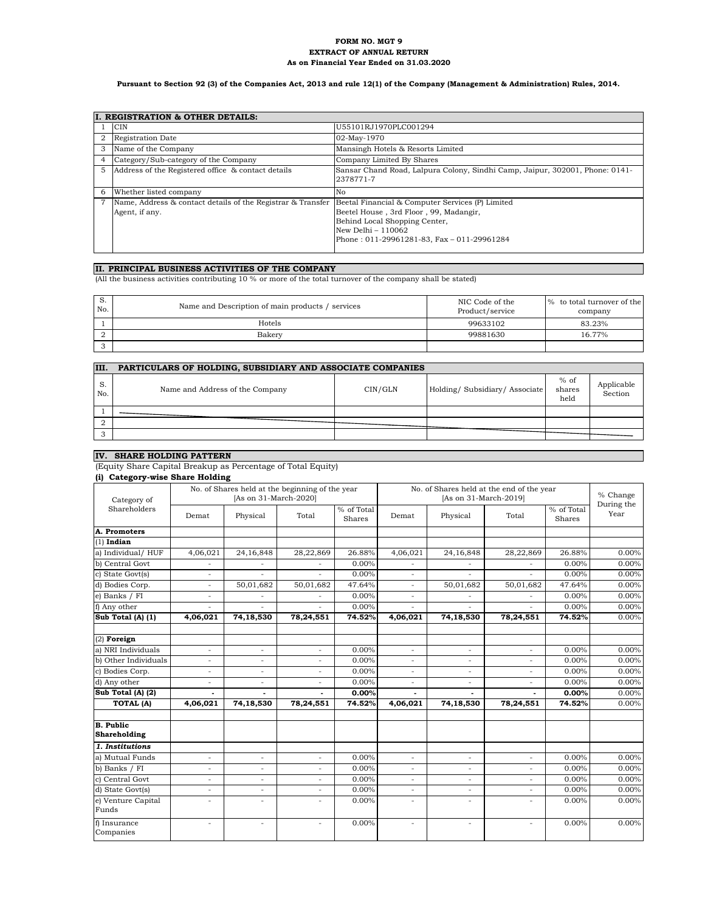#### **FORM NO. MGT 9 EXTRACT OF ANNUAL RETURN As on Financial Year Ended on 31.03.2020**

### **Pursuant to Section 92 (3) of the Companies Act, 2013 and rule 12(1) of the Company (Management & Administration) Rules, 2014.**

|   | I. REGISTRATION & OTHER DETAILS:                                              |                                                                                                                                                                                                 |
|---|-------------------------------------------------------------------------------|-------------------------------------------------------------------------------------------------------------------------------------------------------------------------------------------------|
|   | <b>CIN</b>                                                                    | U55101RJ1970PLC001294                                                                                                                                                                           |
| 2 | <b>Registration Date</b>                                                      | 02-May-1970                                                                                                                                                                                     |
| 3 | Name of the Company                                                           | Mansingh Hotels & Resorts Limited                                                                                                                                                               |
| 4 | Category/Sub-category of the Company                                          | Company Limited By Shares                                                                                                                                                                       |
| 5 | Address of the Registered office & contact details                            | Sansar Chand Road, Lalpura Colony, Sindhi Camp, Jaipur, 302001, Phone: 0141-<br>2378771-7                                                                                                       |
| 6 | Whether listed company                                                        | No                                                                                                                                                                                              |
|   | Name, Address & contact details of the Registrar & Transfer<br>Agent, if any. | Beetal Financial & Computer Services (P) Limited<br>Beetel House, 3rd Floor, 99, Madangir,<br>Behind Local Shopping Center,<br>New Delhi - 110062<br>Phone: 011-29961281-83, Fax - 011-29961284 |

#### **II. PRINCIPAL BUSINESS ACTIVITIES OF THE COMPANY**

(All the business activities contributing 10 % or more of the total turnover of the company shall be stated)

| S.<br>No. | Name and Description of main products / services | NIC Code of the<br>Product/service | % to total turnover of the<br>company |
|-----------|--------------------------------------------------|------------------------------------|---------------------------------------|
|           | Hotels                                           | 99633102                           | 83.23%                                |
|           | Bakery                                           | 99881630                           | 16.77%                                |
|           |                                                  |                                    |                                       |

| III.      | PARTICULARS OF HOLDING, SUBSIDIARY AND ASSOCIATE COMPANIES |         |                              |                          |                       |
|-----------|------------------------------------------------------------|---------|------------------------------|--------------------------|-----------------------|
| S.<br>No. | Name and Address of the Company                            | CIN/GLN | Holding/Subsidiary/Associate | $%$ of<br>shares<br>held | Applicable<br>Section |
|           |                                                            |         |                              |                          |                       |
|           |                                                            |         |                              |                          |                       |
| ٠J        |                                                            |         |                              |                          |                       |

## **IV. SHARE HOLDING PATTERN**

(Equity Share Capital Breakup as Percentage of Total Equity)

| ,<br>Category of                        |                          | No. of Shares held at the beginning of the year<br>[As on 31-March-2020] |                |                      | No. of Shares held at the end of the year<br>[As on 31-March-2019] |                          |                |                      | % Change<br>During the |
|-----------------------------------------|--------------------------|--------------------------------------------------------------------------|----------------|----------------------|--------------------------------------------------------------------|--------------------------|----------------|----------------------|------------------------|
| Shareholders                            | Demat                    | Physical                                                                 | Total          | % of Total<br>Shares | Demat                                                              | Physical                 | Total          | % of Total<br>Shares | Year                   |
| A. Promoters                            |                          |                                                                          |                |                      |                                                                    |                          |                |                      |                        |
| $(1)$ Indian                            |                          |                                                                          |                |                      |                                                                    |                          |                |                      |                        |
| a) Individual/ HUF                      | 4,06,021                 | 24, 16, 848                                                              | 28,22,869      | 26.88%               | 4,06,021                                                           | 24,16,848                | 28,22,869      | 26.88%               | 0.00%                  |
| b) Central Govt                         |                          |                                                                          |                | $0.00\%$             |                                                                    | $\overline{\phantom{a}}$ |                | 0.00%                | 0.00%                  |
| c) State Govt(s)                        | $\sim$                   | ÷                                                                        | ÷              | $0.00\%$             | ÷.                                                                 | ÷                        | ٠              | 0.00%                | $0.00\%$               |
| d) Bodies Corp.                         | $\equiv$                 | 50,01,682                                                                | 50,01,682      | 47.64%               | ÷                                                                  | 50,01,682                | 50,01,682      | 47.64%               | 0.00%                  |
| e) Banks / FI                           |                          |                                                                          |                | 0.00%                | $\overline{a}$                                                     |                          |                | 0.00%                | 0.00%                  |
| f) Any other                            |                          |                                                                          |                | 0.00%                |                                                                    |                          |                | 0.00%                | 0.00%                  |
| Sub Total (A) (1)                       | 4,06,021                 | 74,18,530                                                                | 78,24,551      | 74.52%               | 4,06,021                                                           | 74,18,530                | 78,24,551      | 74.52%               | 0.00%                  |
| $(2)$ Foreign                           |                          |                                                                          |                |                      |                                                                    |                          |                |                      |                        |
| a) NRI Individuals                      | $\sim$                   | $\overline{a}$                                                           | $\overline{a}$ | $0.00\%$             | $\overline{a}$                                                     | $\overline{a}$           | $\overline{a}$ | 0.00%                | 0.00%                  |
| b) Other Individuals                    |                          | ٠                                                                        |                | 0.00%                | ٠                                                                  | ٠                        |                | 0.00%                | 0.00%                  |
| c) Bodies Corp.                         | $\bar{a}$                | $\overline{a}$                                                           | $\equiv$       | $0.00\%$             | $\sim$                                                             | $\overline{a}$           | $\overline{a}$ | 0.00%                | $0.00\%$               |
| d) Any other                            | $\overline{\phantom{a}}$ | $\overline{a}$                                                           | $\overline{a}$ | 0.00%                | ÷                                                                  | ÷                        | $\overline{a}$ | 0.00%                | 0.00%                  |
| Sub Total (A) (2)                       | ÷.                       | $\blacksquare$                                                           | ÷.             | 0.00%                |                                                                    |                          |                | 0.00%                | 0.00%                  |
| <b>TOTAL (A)</b>                        | 4,06,021                 | 74,18,530                                                                | 78,24,551      | 74.52%               | 4,06,021                                                           | 74,18,530                | 78,24,551      | 74.52%               | 0.00%                  |
|                                         |                          |                                                                          |                |                      |                                                                    |                          |                |                      |                        |
| <b>B.</b> Public<br><b>Shareholding</b> |                          |                                                                          |                |                      |                                                                    |                          |                |                      |                        |
| 1. Institutions                         |                          |                                                                          |                |                      |                                                                    |                          |                |                      |                        |
| a) Mutual Funds                         |                          | $\overline{a}$                                                           |                | $0.00\%$             | $\overline{a}$                                                     | $\overline{a}$           |                | 0.00%                | 0.00%                  |
| b) Banks / FI                           | $\bar{a}$                | $\overline{a}$                                                           | $\equiv$       | $0.00\%$             | ÷                                                                  | $\bar{a}$                | L.             | 0.00%                | 0.00%                  |
| c) Central Govt                         | $\sim$                   | $\overline{a}$                                                           | $\overline{a}$ | 0.00%                | $\overline{\phantom{a}}$                                           | $\overline{a}$           | $\overline{a}$ | 0.00%                | 0.00%                  |
| d) State Govt(s)                        | $\sim$                   | ÷.                                                                       | $\omega$       | 0.00%                | $\sim$                                                             | ÷.                       | ÷.             | 0.00%                | 0.00%                  |
| e) Venture Capital<br>Funds             |                          | $\overline{a}$                                                           | $\overline{a}$ | 0.00%                | $\overline{\phantom{a}}$                                           | $\overline{a}$           | $\overline{a}$ | 0.00%                | 0.00%                  |
| f) Insurance<br>Companies               | ÷.                       | ٠                                                                        | ÷.             | 0.00%                | ٠                                                                  | $\overline{a}$           | ÷              | 0.00%                | 0.00%                  |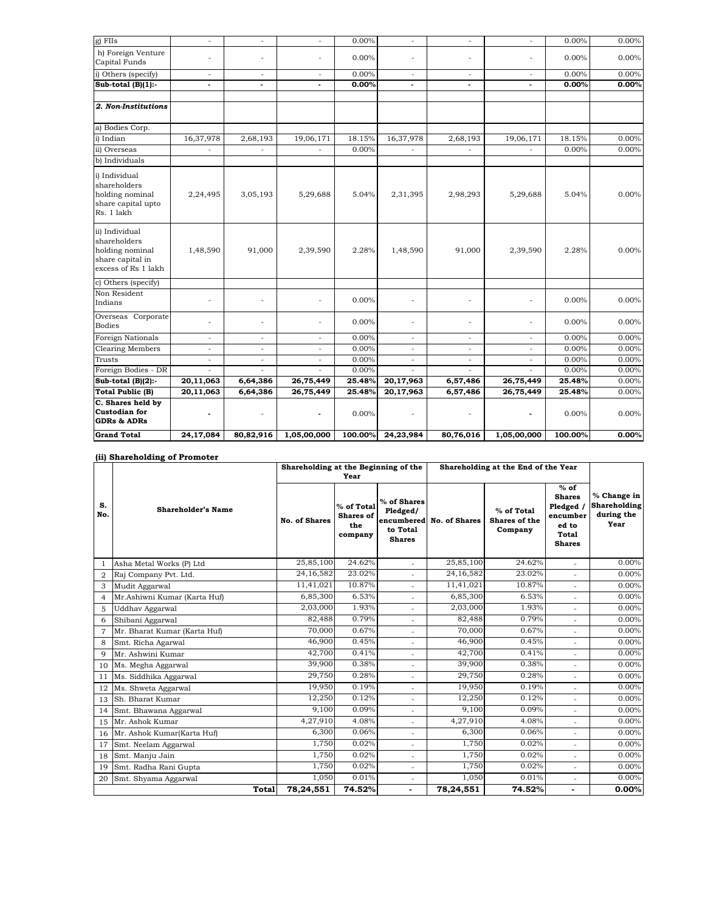| $g$ ) FIIs                                                                                   | $\overline{a}$ | $\overline{a}$ | $\sim$                   | 0.00%    | $\sim$                   | ÷                        | $\sim$         | $0.00\%$ | 0.00%    |
|----------------------------------------------------------------------------------------------|----------------|----------------|--------------------------|----------|--------------------------|--------------------------|----------------|----------|----------|
| h) Foreign Venture<br>Capital Funds                                                          |                | $\overline{a}$ | $\overline{a}$           | 0.00%    | $\overline{a}$           | $\overline{a}$           | $\overline{a}$ | $0.00\%$ | $0.00\%$ |
| i) Others (specify)                                                                          | $\sim$         | $\overline{a}$ | $\overline{\phantom{a}}$ | 0.00%    | $\sim$                   | $\sim$                   | $\sim$         | $0.00\%$ | 0.00%    |
| Sub-total $(B)(1)$ :                                                                         | $\sim$         | ٠              | $\blacksquare$           | 0.00%    | $\epsilon$               | $\blacksquare$           | $\blacksquare$ | 0.00%    | 0.00%    |
|                                                                                              |                |                |                          |          |                          |                          |                |          |          |
| 2. Non-Institutions                                                                          |                |                |                          |          |                          |                          |                |          |          |
| a) Bodies Corp.                                                                              |                |                |                          |          |                          |                          |                |          |          |
| i) Indian                                                                                    | 16,37,978      | 2,68,193       | 19,06,171                | 18.15%   | 16,37,978                | 2,68,193                 | 19,06,171      | 18.15%   | 0.00%    |
| ii) Overseas                                                                                 |                |                |                          | 0.00%    |                          |                          |                | $0.00\%$ | 0.00%    |
| b) Individuals                                                                               |                |                |                          |          |                          |                          |                |          |          |
| i) Individual<br>shareholders<br>holding nominal<br>share capital upto<br>Rs. 1 lakh         | 2,24,495       | 3,05,193       | 5,29,688                 | 5.04%    | 2,31,395                 | 2,98,293                 | 5,29,688       | 5.04%    | 0.00%    |
| ii) Individual<br>shareholders<br>holding nominal<br>share capital in<br>excess of Rs 1 lakh | 1,48,590       | 91,000         | 2,39,590                 | 2.28%    | 1,48,590                 | 91,000                   | 2,39,590       | 2.28%    | 0.00%    |
| c) Others (specify)                                                                          |                |                |                          |          |                          |                          |                |          |          |
| Non Resident<br>Indians                                                                      |                |                |                          | 0.00%    | $\sim$                   | ÷,                       | ÷,             | $0.00\%$ | 0.00%    |
| Overseas Corporate<br><b>Bodies</b>                                                          |                | ÷,             |                          | $0.00\%$ | ٠                        | ÷,                       |                | $0.00\%$ | 0.00%    |
| <b>Foreign Nationals</b>                                                                     | ÷.             | ÷              | $\sim$                   | 0.00%    | $\sim$                   | $\sim$                   | ÷              | 0.00%    | 0.00%    |
| <b>Clearing Members</b>                                                                      | ÷.             | $\blacksquare$ | $\overline{\phantom{a}}$ | 0.00%    | $\sim$                   | $\sim$                   | ÷              | 0.00%    | 0.00%    |
| Trusts                                                                                       | $\sim$         | ä,             | $\sim$                   | 0.00%    | ÷.                       | $\overline{\phantom{a}}$ | ÷,             | 0.00%    | 0.00%    |
| Foreign Bodies - DR                                                                          |                |                |                          | 0.00%    |                          |                          |                | 0.00%    | 0.00%    |
| Sub-total $(B)(2)$ :                                                                         | 20,11,063      | 6,64,386       | 26,75,449                | 25.48%   | 20,17,963                | 6,57,486                 | 26,75,449      | 25.48%   | 0.00%    |
| <b>Total Public (B)</b>                                                                      | 20,11,063      | 6,64,386       | 26,75,449                | 25.48%   | 20,17,963                | 6,57,486                 | 26,75,449      | 25.48%   | 0.00%    |
| C. Shares held by<br><b>Custodian for</b><br><b>GDRs &amp; ADRs</b>                          | ٠              | $\bar{a}$      | $\blacksquare$           | 0.00%    | $\overline{\phantom{a}}$ | $\overline{\phantom{a}}$ | $\blacksquare$ | 0.00%    | $0.00\%$ |
| <b>Grand Total</b>                                                                           | 24,17,084      | 80,82,916      | 1,05,00,000              | 100.00%  | 24,23,984                | 80,76,016                | 1,05,00,000    | 100.00%  | 0.00%    |

## **(ii) Shareholding of Promoter**

|                |                              | Shareholding at the Beginning of the |                                                  |                                                      | Shareholding at the End of the Year |                                        |                                                                                     |                                                          |
|----------------|------------------------------|--------------------------------------|--------------------------------------------------|------------------------------------------------------|-------------------------------------|----------------------------------------|-------------------------------------------------------------------------------------|----------------------------------------------------------|
|                |                              |                                      | Year                                             |                                                      |                                     |                                        |                                                                                     |                                                          |
| S.<br>No.      | <b>Shareholder's Name</b>    | <b>No. of Shares</b>                 | % of Total<br><b>Shares</b> of<br>the<br>company | % of Shares<br>Pledged/<br>to Total<br><b>Shares</b> | encumbered No. of Shares            | % of Total<br>Shares of the<br>Company | $%$ of<br><b>Shares</b><br>Pledged /<br>encumber<br>ed to<br>Total<br><b>Shares</b> | % Change in<br><b>Shareholding</b><br>during the<br>Year |
| $\mathbf{1}$   | Asha Metal Works (P) Ltd     | 25,85,100                            | 24.62%                                           | ÷.                                                   | 25,85,100                           | 24.62%                                 | ÷                                                                                   | 0.00%                                                    |
| $\overline{2}$ | Raj Company Pvt. Ltd.        | 24,16,582                            | 23.02%                                           |                                                      | 24,16,582                           | 23.02%                                 |                                                                                     | 0.00%                                                    |
| 3              | Mudit Aggarwal               | 11,41,021                            | 10.87%                                           |                                                      | 11,41,021                           | 10.87%                                 |                                                                                     | $0.00\%$                                                 |
| $\overline{4}$ | Mr.Ashiwni Kumar (Karta Huf) | 6,85,300                             | 6.53%                                            | ÷.                                                   | 6,85,300                            | 6.53%                                  | $\overline{a}$                                                                      | 0.00%                                                    |
| 5              | Uddhav Aggarwal              | 2,03,000                             | 1.93%                                            | ÷,                                                   | 2,03,000                            | 1.93%                                  | L.                                                                                  | 0.00%                                                    |
| 6              | Shibani Aggarwal             | 82,488                               | 0.79%                                            | ä,                                                   | 82,488                              | 0.79%                                  | $\sim$                                                                              | 0.00%                                                    |
| $\overline{7}$ | Mr. Bharat Kumar (Karta Huf) | 70,000                               | 0.67%                                            | ÷,                                                   | 70,000                              | 0.67%                                  | $\overline{a}$                                                                      | 0.00%                                                    |
| 8              | Smt. Richa Agarwal           | 46,900                               | 0.45%                                            | $\overline{\phantom{a}}$                             | 46,900                              | 0.45%                                  | ÷.                                                                                  | 0.00%                                                    |
| $\mathbf Q$    | Mr. Ashwini Kumar            | 42,700                               | 0.41%                                            | $\overline{\phantom{a}}$                             | 42,700                              | 0.41%                                  |                                                                                     | 0.00%                                                    |
| 10             | Ms. Megha Aggarwal           | 39,900                               | 0.38%                                            | ÷.                                                   | 39,900                              | 0.38%                                  | $\overline{a}$                                                                      | 0.00%                                                    |
| 11             | Ms. Siddhika Aggarwal        | 29,750                               | 0.28%                                            | ÷,                                                   | 29,750                              | 0.28%                                  | ÷.                                                                                  | 0.00%                                                    |
| 12             | Ms. Shweta Aggarwal          | 19,950                               | 0.19%                                            | ٠                                                    | 19,950                              | 0.19%                                  |                                                                                     | 0.00%                                                    |
| 13             | Sh. Bharat Kumar             | 12,250                               | 0.12%                                            | $\overline{\phantom{a}}$                             | 12,250                              | 0.12%                                  | ÷.                                                                                  | 0.00%                                                    |
| 14             | Smt. Bhawana Aggarwal        | 9,100                                | 0.09%                                            | ÷                                                    | 9,100                               | 0.09%                                  |                                                                                     | $0.00\%$                                                 |
| 15             | Mr. Ashok Kumar              | 4,27,910                             | 4.08%                                            |                                                      | 4,27,910                            | 4.08%                                  |                                                                                     | 0.00%                                                    |
| 16             | Mr. Ashok Kumar(Karta Huf)   | 6,300                                | 0.06%                                            |                                                      | 6,300                               | 0.06%                                  |                                                                                     | 0.00%                                                    |
| 17             | Smt. Neelam Aggarwal         | 1,750                                | 0.02%                                            | $\sim$                                               | 1,750                               | 0.02%                                  | ÷                                                                                   | 0.00%                                                    |
| 18             | Smt. Manju Jain              | 1,750                                | 0.02%                                            | ٠                                                    | 1,750                               | 0.02%                                  |                                                                                     | 0.00%                                                    |
| 19             | Smt. Radha Rani Gupta        | 1,750                                | 0.02%                                            | $\overline{\phantom{a}}$                             | 1,750                               | 0.02%                                  | $\sim$                                                                              | 0.00%                                                    |
| 20             | Smt. Shyama Aggarwal         | 1,050                                | 0.01%                                            | ٠                                                    | 1,050                               | 0.01%                                  |                                                                                     | $0.00\%$                                                 |
|                | <b>Total</b>                 | 78,24,551                            | 74.52%                                           | ٠                                                    | 78,24,551                           | 74.52%                                 |                                                                                     | 0.00%                                                    |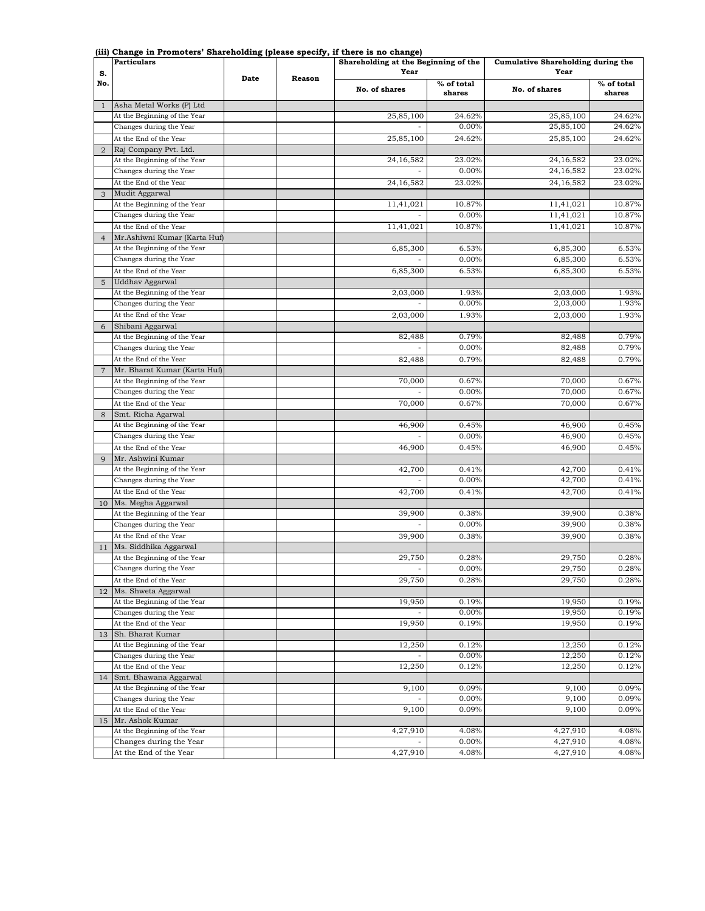| s.             | Particulars                                            |      |               | --- <i>-</i> -----<br>Shareholding at the Beginning of the<br>Year |                      | Cumulative Shareholding during the<br>Year |                      |
|----------------|--------------------------------------------------------|------|---------------|--------------------------------------------------------------------|----------------------|--------------------------------------------|----------------------|
| No.            |                                                        | Date | <b>Reason</b> | No. of shares                                                      | % of total<br>shares | No. of shares                              | % of total<br>shares |
| $\mathbf{1}$   | Asha Metal Works (P) Ltd                               |      |               |                                                                    |                      |                                            |                      |
|                | At the Beginning of the Year                           |      |               | 25,85,100                                                          | 24.62%               | 25,85,100                                  | 24.62%               |
|                | Changes during the Year                                |      |               |                                                                    | 0.00%                | 25,85,100                                  | 24.62%               |
|                | At the End of the Year                                 |      |               | 25,85,100                                                          | 24.62%               | 25,85,100                                  | 24.62%               |
| $\overline{2}$ | Raj Company Pvt. Ltd.                                  |      |               |                                                                    |                      |                                            |                      |
|                | At the Beginning of the Year                           |      |               | 24, 16, 582                                                        | 23.02%               | 24,16,582                                  | 23.02%               |
|                | Changes during the Year                                |      |               |                                                                    | 0.00%                | 24,16,582                                  | 23.02%               |
|                | At the End of the Year                                 |      |               | 24, 16, 582                                                        | 23.02%               | 24,16,582                                  | 23.02%               |
| 3              | Mudit Aggarwal                                         |      |               |                                                                    |                      |                                            |                      |
|                | At the Beginning of the Year                           |      |               | 11,41,021                                                          | 10.87%               | 11,41,021                                  | 10.87%               |
|                | Changes during the Year                                |      |               |                                                                    | 0.00%                | 11,41,021                                  | 10.87%               |
|                | At the End of the Year<br>Mr.Ashiwni Kumar (Karta Huf) |      |               | 11,41,021                                                          | 10.87%               | 11,41,021                                  | 10.87%               |
| $\overline{4}$ | At the Beginning of the Year                           |      |               | 6,85,300                                                           | 6.53%                | 6,85,300                                   | 6.53%                |
|                | Changes during the Year                                |      |               |                                                                    | 0.00%                | 6,85,300                                   | 6.53%                |
|                | At the End of the Year                                 |      |               | 6,85,300                                                           | 6.53%                | 6,85,300                                   | 6.53%                |
| 5              | Uddhav Aggarwal                                        |      |               |                                                                    |                      |                                            |                      |
|                | At the Beginning of the Year                           |      |               | 2,03,000                                                           | 1.93%                | 2,03,000                                   | 1.93%                |
|                | Changes during the Year                                |      |               |                                                                    | 0.00%                | 2,03,000                                   | 1.93%                |
|                | At the End of the Year                                 |      |               | 2,03,000                                                           | 1.93%                | 2,03,000                                   | 1.93%                |
| 6              | Shibani Aggarwal                                       |      |               |                                                                    |                      |                                            |                      |
|                | At the Beginning of the Year                           |      |               | 82,488                                                             | 0.79%                | 82,488                                     | 0.79%                |
|                | Changes during the Year                                |      |               | ÷,                                                                 | 0.00%                | 82,488                                     | 0.79%                |
|                | At the End of the Year                                 |      |               | 82,488                                                             | 0.79%                | 82,488                                     | 0.79%                |
| $\overline{7}$ | Mr. Bharat Kumar (Karta Huf)                           |      |               |                                                                    |                      |                                            |                      |
|                | At the Beginning of the Year                           |      |               | 70,000                                                             | 0.67%                | 70,000                                     | 0.67%                |
|                | Changes during the Year                                |      |               |                                                                    | 0.00%                | 70,000                                     | 0.67%                |
|                | At the End of the Year                                 |      |               | 70,000                                                             | 0.67%                | 70,000                                     | 0.67%                |
| 8              | Smt. Richa Agarwal                                     |      |               |                                                                    |                      |                                            |                      |
|                | At the Beginning of the Year                           |      |               | 46,900                                                             | 0.45%                | 46,900                                     | 0.45%                |
|                | Changes during the Year                                |      |               |                                                                    | 0.00%                | 46,900                                     | 0.45%                |
|                | At the End of the Year                                 |      |               | 46,900                                                             | 0.45%                | 46,900                                     | 0.45%                |
| 9              | Mr. Ashwini Kumar                                      |      |               |                                                                    |                      |                                            |                      |
|                | At the Beginning of the Year                           |      |               | 42,700                                                             | 0.41%                | 42,700                                     | 0.41%                |
|                | Changes during the Year                                |      |               |                                                                    | 0.00%                | 42,700                                     | 0.41%                |
|                | At the End of the Year                                 |      |               | 42,700                                                             | 0.41%                | 42,700                                     | 0.41%                |
| 10             | Ms. Megha Aggarwal                                     |      |               |                                                                    |                      |                                            |                      |
|                | At the Beginning of the Year                           |      |               | 39,900                                                             | 0.38%<br>0.00%       | 39,900<br>39,900                           | 0.38%                |
|                | Changes during the Year                                |      |               |                                                                    |                      |                                            | 0.38%                |
|                | At the End of the Year<br>Ms. Siddhika Aggarwal        |      |               | 39,900                                                             | 0.38%                | 39,900                                     | 0.38%                |
| 11             | At the Beginning of the Year                           |      |               | 29,750                                                             | 0.28%                | 29,750                                     | 0.28%                |
|                | Changes during the Year                                |      |               | $\overline{\phantom{a}}$                                           | 0.00%                | 29,750                                     | 0.28%                |
|                | At the End of the Year                                 |      |               | 29,750                                                             | 0.28%                | 29,750                                     | 0.28%                |
| 12             | Ms. Shweta Aggarwal                                    |      |               |                                                                    |                      |                                            |                      |
|                | At the Beginning of the Year                           |      |               | 19,950                                                             | 0.19%                | 19,950                                     | 0.19%                |
|                | Changes during the Year                                |      |               |                                                                    | 0.00%                | 19,950                                     | 0.19%                |
|                | At the End of the Year                                 |      |               | 19,950                                                             | 0.19%                | 19,950                                     | 0.19%                |
| 13             | Sh. Bharat Kumar                                       |      |               |                                                                    |                      |                                            |                      |
|                | At the Beginning of the Year                           |      |               | 12,250                                                             | 0.12%                | 12,250                                     | 0.12%                |
|                | Changes during the Year                                |      |               |                                                                    | 0.00%                | 12,250                                     | 0.12%                |
|                | At the End of the Year                                 |      |               | 12,250                                                             | 0.12%                | 12,250                                     | 0.12%                |
| 14             | Smt. Bhawana Aggarwal                                  |      |               |                                                                    |                      |                                            |                      |
|                | At the Beginning of the Year                           |      |               | 9,100                                                              | 0.09%                | 9,100                                      | 0.09%                |
|                | Changes during the Year                                |      |               |                                                                    | 0.00%                | 9,100                                      | 0.09%                |
|                | At the End of the Year                                 |      |               | 9,100                                                              | 0.09%                | 9,100                                      | 0.09%                |
| 15             | Mr. Ashok Kumar                                        |      |               |                                                                    |                      |                                            |                      |
|                | At the Beginning of the Year                           |      |               | 4,27,910                                                           | 4.08%                | 4,27,910                                   | 4.08%                |
|                | Changes during the Year                                |      |               |                                                                    | 0.00%                | 4,27,910                                   | 4.08%                |
|                | At the End of the Year                                 |      |               | 4,27,910                                                           | 4.08%                | 4,27,910                                   | 4.08%                |

## **(iii) Change in Promoters' Shareholding (please specify, if there is no change)**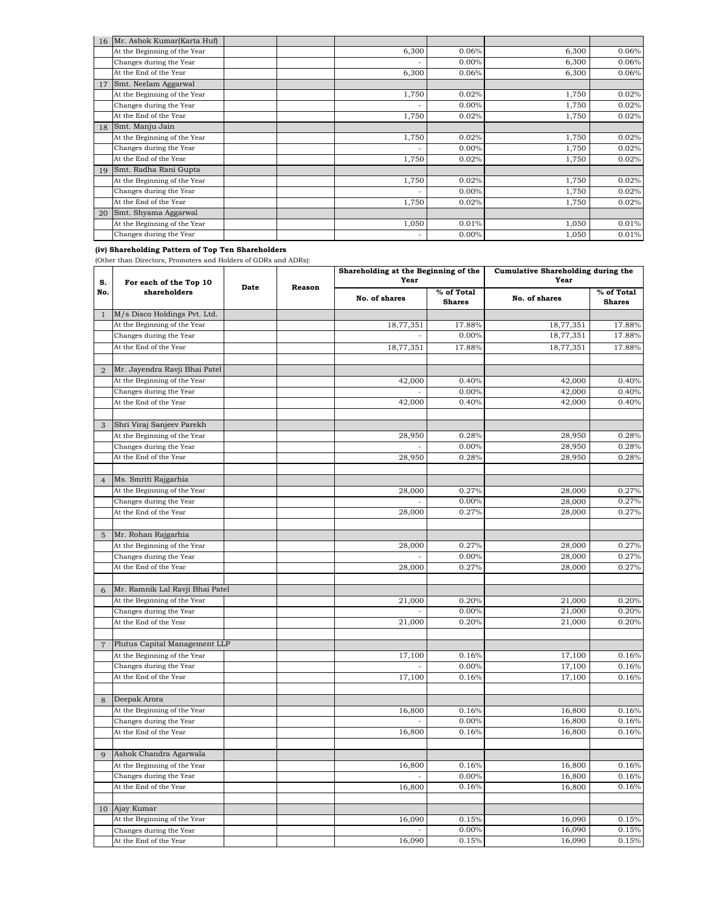|    | 16 Mr. Ashok Kumar (Karta Huf) |       |          |       |       |
|----|--------------------------------|-------|----------|-------|-------|
|    | At the Beginning of the Year   | 6,300 | 0.06%    | 6,300 | 0.06% |
|    | Changes during the Year        | ۰     | $0.00\%$ | 6,300 | 0.06% |
|    | At the End of the Year         | 6,300 | 0.06%    | 6,300 | 0.06% |
| 17 | Smt. Neelam Aggarwal           |       |          |       |       |
|    | At the Beginning of the Year   | 1,750 | 0.02%    | 1,750 | 0.02% |
|    | Changes during the Year        | ۰     | $0.00\%$ | 1,750 | 0.02% |
|    | At the End of the Year         | 1,750 | 0.02%    | 1,750 | 0.02% |
| 18 | Smt. Manju Jain                |       |          |       |       |
|    | At the Beginning of the Year   | 1,750 | 0.02%    | 1,750 | 0.02% |
|    | Changes during the Year        | ۰     | $0.00\%$ | 1,750 | 0.02% |
|    | At the End of the Year         | 1,750 | 0.02%    | 1,750 | 0.02% |
| 19 | Smt. Radha Rani Gupta          |       |          |       |       |
|    | At the Beginning of the Year   | 1,750 | 0.02%    | 1,750 | 0.02% |
|    | Changes during the Year        | ٠     | $0.00\%$ | 1,750 | 0.02% |
|    | At the End of the Year         | 1,750 | 0.02%    | 1,750 | 0.02% |
| 20 | Smt. Shyama Aggarwal           |       |          |       |       |
|    | At the Beginning of the Year   | 1,050 | 0.01%    | 1,050 | 0.01% |
|    | Changes during the Year        | ۰     | $0.00\%$ | 1,050 | 0.01% |

## **(iv) Shareholding Pattern of Top Ten Shareholders**

(Other than Directors, Promoters and Holders of GDRs and ADRs):

| S.             | For each of the Top 10          | Shareholding at the Beginning of the<br>Year<br>Date<br>Reason |  |               | Cumulative Shareholding during the<br>Year |               |                             |
|----------------|---------------------------------|----------------------------------------------------------------|--|---------------|--------------------------------------------|---------------|-----------------------------|
| No.            | shareholders                    |                                                                |  | No. of shares | % of Total<br><b>Shares</b>                | No. of shares | % of Total<br><b>Shares</b> |
| $\mathbf{1}$   | M/s Disco Holdings Pvt. Ltd.    |                                                                |  |               |                                            |               |                             |
|                | At the Beginning of the Year    |                                                                |  | 18,77,351     | 17.88%                                     | 18,77,351     | 17.88%                      |
|                | Changes during the Year         |                                                                |  |               | 0.00%                                      | 18,77,351     | 17.88%                      |
|                | At the End of the Year          |                                                                |  | 18,77,351     | 17.88%                                     | 18,77,351     | 17.88%                      |
| $\overline{2}$ | Mr. Jayendra Ravji Bhai Patel   |                                                                |  |               |                                            |               |                             |
|                | At the Beginning of the Year    |                                                                |  | 42,000        | 0.40%                                      | 42,000        | 0.40%                       |
|                | Changes during the Year         |                                                                |  |               | 0.00%                                      | 42,000        | 0.40%                       |
|                | At the End of the Year          |                                                                |  | 42,000        | 0.40%                                      | 42,000        | 0.40%                       |
|                |                                 |                                                                |  |               |                                            |               |                             |
| 3              | Shri Viraj Sanjeev Parekh       |                                                                |  |               |                                            |               |                             |
|                | At the Beginning of the Year    |                                                                |  | 28,950        | 0.28%                                      | 28,950        | 0.28%                       |
|                | Changes during the Year         |                                                                |  |               | 0.00%                                      | 28,950        | 0.28%                       |
|                | At the End of the Year          |                                                                |  | 28,950        | 0.28%                                      | 28,950        | 0.28%                       |
|                |                                 |                                                                |  |               |                                            |               |                             |
| $\overline{4}$ | Ms. Smriti Rajgarhia            |                                                                |  |               |                                            |               |                             |
|                | At the Beginning of the Year    |                                                                |  | 28,000        | 0.27%                                      | 28,000        | 0.27%                       |
|                | Changes during the Year         |                                                                |  |               | 0.00%                                      | 28,000        | 0.27%                       |
|                | At the End of the Year          |                                                                |  | 28,000        | 0.27%                                      | 28,000        | 0.27%                       |
|                |                                 |                                                                |  |               |                                            |               |                             |
| $\overline{5}$ | Mr. Rohan Rajgarhia             |                                                                |  |               |                                            |               |                             |
|                | At the Beginning of the Year    |                                                                |  | 28,000        | 0.27%                                      | 28,000        | 0.27%                       |
|                | Changes during the Year         |                                                                |  |               | 0.00%                                      | 28,000        | 0.27%                       |
|                | At the End of the Year          |                                                                |  | 28,000        | 0.27%                                      | 28,000        | 0.27%                       |
|                |                                 |                                                                |  |               |                                            |               |                             |
| 6              | Mr. Ramnik Lal Ravji Bhai Patel |                                                                |  |               |                                            |               |                             |
|                | At the Beginning of the Year    |                                                                |  | 21,000        | 0.20%                                      | 21,000        | 0.20%                       |
|                | Changes during the Year         |                                                                |  |               | 0.00%                                      | 21,000        | 0.20%                       |
|                | At the End of the Year          |                                                                |  | 21,000        | 0.20%                                      | 21,000        | 0.20%                       |
|                |                                 |                                                                |  |               |                                            |               |                             |
| $\overline{7}$ | Plutus Capital Management LLP   |                                                                |  |               |                                            |               |                             |
|                | At the Beginning of the Year    |                                                                |  | 17,100        | 0.16%                                      | 17,100        | 0.16%                       |
|                | Changes during the Year         |                                                                |  |               | 0.00%                                      | 17,100        | 0.16%                       |
|                | At the End of the Year          |                                                                |  | 17,100        | 0.16%                                      | 17,100        | 0.16%                       |
|                |                                 |                                                                |  |               |                                            |               |                             |
| 8              | Deepak Arora                    |                                                                |  |               |                                            |               |                             |
|                | At the Beginning of the Year    |                                                                |  | 16,800        | 0.16%                                      | 16,800        | 0.16%                       |
|                | Changes during the Year         |                                                                |  |               | 0.00%                                      | 16,800        | 0.16%                       |
|                | At the End of the Year          |                                                                |  | 16,800        | 0.16%                                      | 16,800        | 0.16%                       |
|                |                                 |                                                                |  |               |                                            |               |                             |
| 9              | Ashok Chandra Agarwala          |                                                                |  |               |                                            |               |                             |
|                | At the Beginning of the Year    |                                                                |  | 16,800        | 0.16%                                      | 16,800        | 0.16%                       |
|                | Changes during the Year         |                                                                |  |               | 0.00%                                      | 16,800        | 0.16%                       |
|                | At the End of the Year          |                                                                |  | 16,800        | 0.16%                                      | 16,800        | 0.16%                       |
| 10             | Ajay Kumar                      |                                                                |  |               |                                            |               |                             |
|                | At the Beginning of the Year    |                                                                |  | 16,090        | 0.15%                                      | 16,090        | 0.15%                       |
|                | Changes during the Year         |                                                                |  |               | 0.00%                                      | 16,090        | 0.15%                       |
|                | At the End of the Year          |                                                                |  | 16,090        | 0.15%                                      | 16,090        | 0.15%                       |
|                |                                 |                                                                |  |               |                                            |               |                             |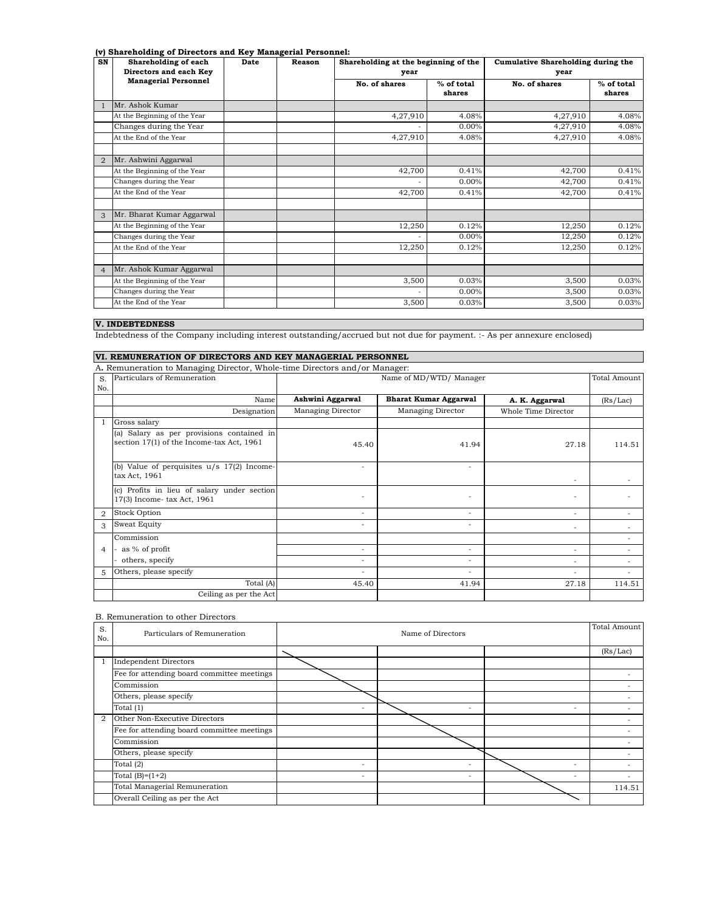## **(v) Shareholding of Directors and Key Managerial Personnel:**

| . . <i>.</i><br>SN | Shareholding of each<br>Directors and each Key | Date | Reason | year          | Shareholding at the beginning of the |               | Cumulative Shareholding during the |
|--------------------|------------------------------------------------|------|--------|---------------|--------------------------------------|---------------|------------------------------------|
|                    | <b>Managerial Personnel</b>                    |      |        | No. of shares | % of total<br>shares                 | No. of shares | % of total<br>shares               |
|                    | Mr. Ashok Kumar                                |      |        |               |                                      |               |                                    |
|                    | At the Beginning of the Year                   |      |        | 4,27,910      | 4.08%                                | 4,27,910      | 4.08%                              |
|                    | Changes during the Year                        |      |        |               | $0.00\%$                             | 4,27,910      | 4.08%                              |
|                    | At the End of the Year                         |      |        | 4,27,910      | 4.08%                                | 4,27,910      | 4.08%                              |
|                    |                                                |      |        |               |                                      |               |                                    |
| $\overline{2}$     | Mr. Ashwini Aggarwal                           |      |        |               |                                      |               |                                    |
|                    | At the Beginning of the Year                   |      |        | 42,700        | 0.41%                                | 42,700        | 0.41%                              |
|                    | Changes during the Year                        |      |        |               | $0.00\%$                             | 42,700        | 0.41%                              |
|                    | At the End of the Year                         |      |        | 42,700        | 0.41%                                | 42,700        | 0.41%                              |
|                    |                                                |      |        |               |                                      |               |                                    |
| 3                  | Mr. Bharat Kumar Aggarwal                      |      |        |               |                                      |               |                                    |
|                    | At the Beginning of the Year                   |      |        | 12,250        | 0.12%                                | 12,250        | 0.12%                              |
|                    | Changes during the Year                        |      |        |               | $0.00\%$                             | 12,250        | 0.12%                              |
|                    | At the End of the Year                         |      |        | 12,250        | 0.12%                                | 12,250        | 0.12%                              |
|                    |                                                |      |        |               |                                      |               |                                    |
| $\overline{4}$     | Mr. Ashok Kumar Aggarwal                       |      |        |               |                                      |               |                                    |
|                    | At the Beginning of the Year                   |      |        | 3,500         | 0.03%                                | 3,500         | 0.03%                              |
|                    | Changes during the Year                        |      |        |               | $0.00\%$                             | 3,500         | 0.03%                              |
|                    | At the End of the Year                         |      |        | 3,500         | 0.03%                                | 3.500         | 0.03%                              |

# **V. INDEBTEDNESS**

Indebtedness of the Company including interest outstanding/accrued but not due for payment. :- As per annexure enclosed)

## **VI. REMUNERATION OF DIRECTORS AND KEY MANAGERIAL PERSONNEL**

|     | A. Remuneration to Managing Director, Whole-time Directors and/or Manager:             |                          |                              |                          |              |
|-----|----------------------------------------------------------------------------------------|--------------------------|------------------------------|--------------------------|--------------|
| S.  | Particulars of Remuneration                                                            |                          | Name of MD/WTD/ Manager      |                          | Total Amount |
| No. |                                                                                        |                          |                              |                          |              |
|     | Name                                                                                   | Ashwini Aggarwal         | <b>Bharat Kumar Aggarwal</b> | A. K. Aggarwal           | (Rs/Lac)     |
|     | Designation                                                                            | Managing Director        | Managing Director            | Whole Time Director      |              |
|     | Gross salary                                                                           |                          |                              |                          |              |
|     | (a) Salary as per provisions contained in<br>section 17(1) of the Income-tax Act, 1961 | 45.40                    | 41.94                        | 27.18                    | 114.51       |
|     | (b) Value of perquisites $u/s$ 17(2) Income-<br>tax Act, 1961                          | $\overline{\phantom{a}}$ | $\overline{\phantom{a}}$     | $\overline{\phantom{a}}$ |              |
|     | (c) Profits in lieu of salary under section<br>17(3) Income-tax Act, 1961              | $\overline{\phantom{a}}$ | $\overline{\phantom{a}}$     | ۰                        |              |
| 2   | Stock Option                                                                           | $\sim$                   | $\sim$                       | ٠                        |              |
| 3   | Sweat Equity                                                                           | $\overline{\phantom{a}}$ | $\overline{\phantom{a}}$     | ٠                        |              |
|     | Commission                                                                             |                          |                              |                          |              |
| 4   | as % of profit                                                                         | $\overline{\phantom{a}}$ | $\overline{\phantom{a}}$     | $\overline{\phantom{a}}$ |              |
|     | others, specify                                                                        | $\overline{\phantom{a}}$ | $\overline{\phantom{a}}$     | -                        |              |
| 5   | Others, please specify                                                                 | ٠                        | ٠                            | ٠                        |              |
|     | Total (A)                                                                              | 45.40                    | 41.94                        | 27.18                    | 114.51       |
|     | Ceiling as per the Act                                                                 |                          |                              |                          |              |

#### B. Remuneration to other Directors

| S.<br>No.      | Particulars of Remuneration                | Total Amount<br>Name of Directors |                          |   |          |  |
|----------------|--------------------------------------------|-----------------------------------|--------------------------|---|----------|--|
|                |                                            |                                   |                          |   | (Rs/Lac) |  |
| $\mathbf{1}$   | <b>Independent Directors</b>               |                                   |                          |   |          |  |
|                | Fee for attending board committee meetings |                                   |                          |   |          |  |
|                | Commission                                 |                                   |                          |   |          |  |
|                | Others, please specify                     |                                   |                          |   |          |  |
|                | Total (1)                                  | $\overline{\phantom{a}}$          | ٠                        | ۰ |          |  |
| $\overline{2}$ | Other Non-Executive Directors              |                                   |                          |   |          |  |
|                | Fee for attending board committee meetings |                                   |                          |   |          |  |
|                | Commission                                 |                                   |                          |   |          |  |
|                | Others, please specify                     |                                   |                          |   |          |  |
|                | Total $(2)$                                | $\overline{\phantom{a}}$          | ٠                        | ٠ |          |  |
|                | Total $(B)=(1+2)$                          | $\overline{\phantom{a}}$          | $\overline{\phantom{a}}$ | - | ۰        |  |
|                | Total Managerial Remuneration              |                                   |                          |   | 114.51   |  |
|                | Overall Ceiling as per the Act             |                                   |                          |   |          |  |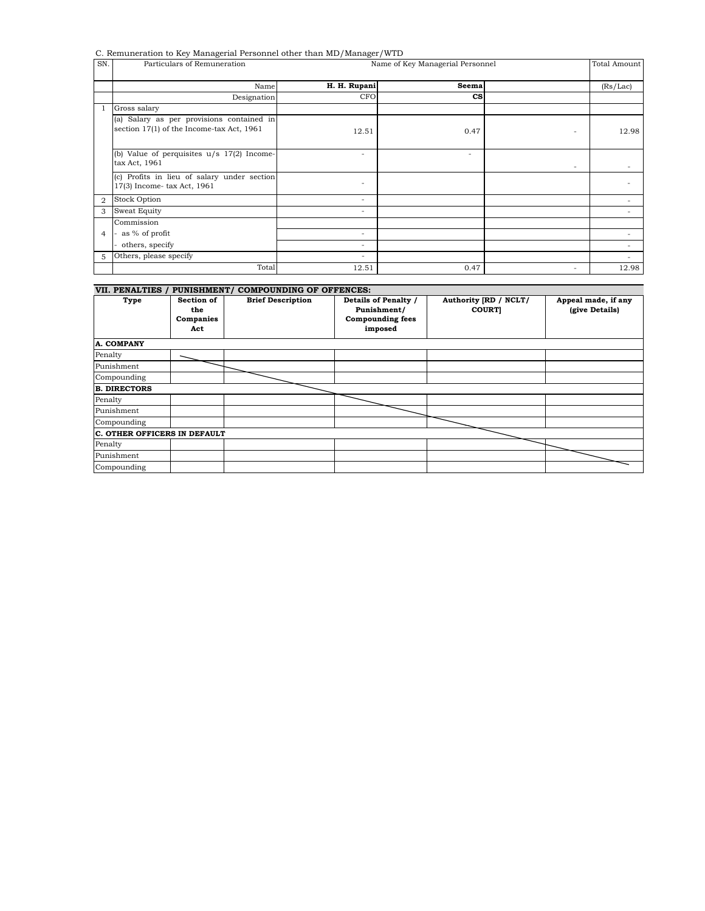C. Remuneration to Key Managerial Personnel other than MD/Manager/WTD

| SN.            | <u>.</u><br>Particulars of Remuneration                                                | - -<br>Name of Key Managerial Personnel | Total Amount           |                          |                              |  |  |
|----------------|----------------------------------------------------------------------------------------|-----------------------------------------|------------------------|--------------------------|------------------------------|--|--|
|                | Name                                                                                   | H. H. Rupani                            | Seema                  |                          | (Rs/Lac)                     |  |  |
|                | Designation                                                                            | <b>CFO</b>                              | $\mathbf{c}\mathbf{s}$ |                          |                              |  |  |
|                | Gross salary                                                                           |                                         |                        |                          |                              |  |  |
|                | (a) Salary as per provisions contained in<br>section 17(1) of the Income-tax Act, 1961 | 12.51                                   | 0.47                   | $\overline{\phantom{a}}$ | 12.98                        |  |  |
|                | (b) Value of perquisites $u/s$ 17(2) Income-<br>tax Act, 1961                          | ٠                                       | ٠                      | $\overline{\phantom{a}}$ |                              |  |  |
|                | (c) Profits in lieu of salary under section<br>17(3) Income-tax Act, 1961              | $\qquad \qquad \blacksquare$            |                        |                          | ٠                            |  |  |
| $\overline{2}$ | <b>Stock Option</b>                                                                    | $\overline{\phantom{a}}$                |                        |                          |                              |  |  |
| 3              | <b>Sweat Equity</b>                                                                    | ٠                                       |                        |                          | ٠                            |  |  |
|                | Commission                                                                             |                                         |                        |                          |                              |  |  |
| $\overline{4}$ | as % of profit                                                                         | $\overline{\phantom{a}}$                |                        |                          | $\qquad \qquad \blacksquare$ |  |  |
|                | others, specify                                                                        | ٠                                       |                        |                          | ٠                            |  |  |
| 5              | Others, please specify                                                                 | ٠                                       |                        |                          |                              |  |  |
|                | Total                                                                                  | 12.51                                   | 0.47                   | ۰                        | 12.98                        |  |  |
|                |                                                                                        |                                         |                        |                          |                              |  |  |

| VII. PENALTIES / PUNISHMENT/ COMPOUNDING OF OFFENCES: |                                       |                          |                                                                           |                                       |                                       |  |
|-------------------------------------------------------|---------------------------------------|--------------------------|---------------------------------------------------------------------------|---------------------------------------|---------------------------------------|--|
| Type                                                  | Section of<br>the<br>Companies<br>Act | <b>Brief Description</b> | Details of Penalty /<br>Punishment/<br><b>Compounding fees</b><br>imposed | Authority [RD / NCLT/<br><b>COURT</b> | Appeal made, if any<br>(give Details) |  |
| <b>A. COMPANY</b>                                     |                                       |                          |                                                                           |                                       |                                       |  |
| Penalty                                               |                                       |                          |                                                                           |                                       |                                       |  |
| Punishment                                            |                                       |                          |                                                                           |                                       |                                       |  |
| Compounding                                           |                                       |                          |                                                                           |                                       |                                       |  |
| <b>B. DIRECTORS</b>                                   |                                       |                          |                                                                           |                                       |                                       |  |
| Penalty                                               |                                       |                          |                                                                           |                                       |                                       |  |
| Punishment                                            |                                       |                          |                                                                           |                                       |                                       |  |
| Compounding                                           |                                       |                          |                                                                           |                                       |                                       |  |
| C. OTHER OFFICERS IN DEFAULT                          |                                       |                          |                                                                           |                                       |                                       |  |
| Penalty                                               |                                       |                          |                                                                           |                                       |                                       |  |
| Punishment                                            |                                       |                          |                                                                           |                                       |                                       |  |
| Compounding                                           |                                       |                          |                                                                           |                                       |                                       |  |